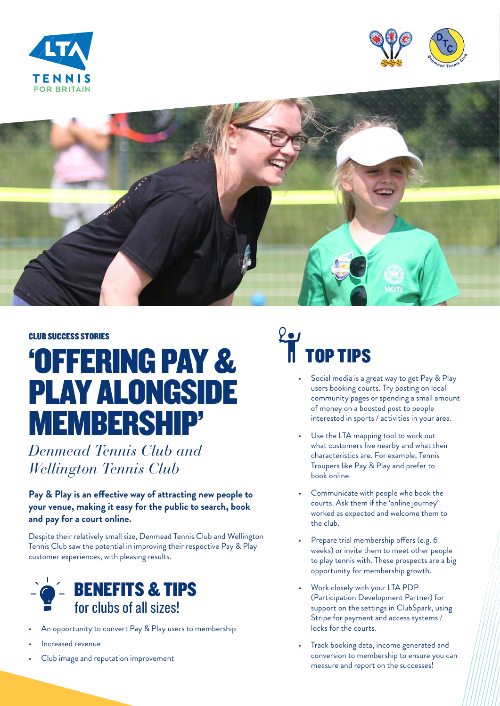





#### CLUB SUCCESS STORIES

## 'OFFERING PAY & PLAY ALONGSIDE MEMBERSHIP'

*Denmead Tennis Club and Wellington Tennis Club*

#### **Pay & Play is an effective way of attracting new people to your venue, making it easy for the public to search, book and pay for a court online.**

Despite their relatively small size, Denmead Tennis Club and Wellington Tennis Club saw the potential in improving their respective Pay & Play customer experiences, with pleasing results.



- An opportunity to convert Pay & Play users to membership
- Increased revenue
- Club image and reputation improvement

# **OP TIPS**

- Social media is a great way to get Pay & Play users booking courts. Try posting on local community pages or spending a small amount of money on a boosted post to people interested in sports / activities in your area.
- Use the LTA mapping tool to work out what customers live nearby and what their characteristics are. For example, Tennis Troupers like Pay & Play and prefer to book online.
- Communicate with people who book the courts. Ask them if the 'online journey' worked as expected and welcome them to the club.
- Prepare trial membership offers (e.g. 6 weeks) or invite them to meet other people to play tennis with. These prospects are a big opportunity for membership growth.
- Work closely with your LTA PDP (Participation Development Partner) for support on the settings in ClubSpark, using Stripe for payment and access systems / locks for the courts.
- Track booking data, income generated and conversion to membership to ensure you can measure and report on the successes!